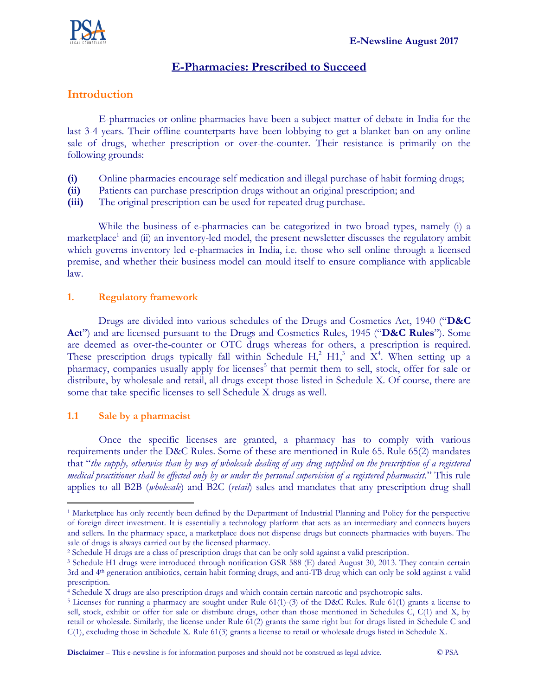

# **E-Pharmacies: Prescribed to Succeed**

## **Introduction**

E-pharmacies or online pharmacies have been a subject matter of debate in India for the last 3-4 years. Their offline counterparts have been lobbying to get a blanket ban on any online sale of drugs, whether prescription or over-the-counter. Their resistance is primarily on the following grounds:

- **(i)** Online pharmacies encourage self medication and illegal purchase of habit forming drugs;
- **(ii)** Patients can purchase prescription drugs without an original prescription; and
- **(iii)** The original prescription can be used for repeated drug purchase.

While the business of e-pharmacies can be categorized in two broad types, namely (i) a marketplace<sup>1</sup> and (ii) an inventory-led model, the present newsletter discusses the regulatory ambit which governs inventory led e-pharmacies in India, i.e. those who sell online through a licensed premise, and whether their business model can mould itself to ensure compliance with applicable law.

#### **1. Regulatory framework**

Drugs are divided into various schedules of the Drugs and Cosmetics Act, 1940 ("**D&C Act**") and are licensed pursuant to the Drugs and Cosmetics Rules, 1945 ("**D&C Rules**"). Some are deemed as over-the-counter or OTC drugs whereas for others, a prescription is required. These prescription drugs typically fall within Schedule H,<sup>2</sup> H1,<sup>3</sup> and  $X^4$ . When setting up a pharmacy, companies usually apply for licenses<sup>5</sup> that permit them to sell, stock, offer for sale or distribute, by wholesale and retail, all drugs except those listed in Schedule X. Of course, there are some that take specific licenses to sell Schedule X drugs as well.

#### **1.1 Sale by a pharmacist**

 $\overline{a}$ 

Once the specific licenses are granted, a pharmacy has to comply with various requirements under the D&C Rules. Some of these are mentioned in Rule 65. Rule 65(2) mandates that "*the supply, otherwise than by way of wholesale dealing of any drug supplied on the prescription of a registered medical practitioner shall be effected only by or under the personal supervision of a registered pharmacist.*" This rule applies to all B2B (*wholesale*) and B2C (*retail*) sales and mandates that any prescription drug shall

<sup>1</sup> Marketplace has only recently been defined by the Department of Industrial Planning and Policy for the perspective of foreign direct investment. It is essentially a technology platform that acts as an intermediary and connects buyers and sellers. In the pharmacy space, a marketplace does not dispense drugs but connects pharmacies with buyers. The sale of drugs is always carried out by the licensed pharmacy.

<sup>2</sup> Schedule H drugs are a class of prescription drugs that can be only sold against a valid prescription.

<sup>3</sup> Schedule H1 drugs were introduced through notification GSR 588 (E) dated August 30, 2013. They contain certain 3rd and 4th generation antibiotics, certain habit forming drugs, and anti-TB drug which can only be sold against a valid prescription.

<sup>4</sup> Schedule X drugs are also prescription drugs and which contain certain narcotic and psychotropic salts.

<sup>5</sup> Licenses for running a pharmacy are sought under Rule 61(1)-(3) of the D&C Rules. Rule 61(1) grants a license to sell, stock, exhibit or offer for sale or distribute drugs, other than those mentioned in Schedules C, C(1) and X, by retail or wholesale. Similarly, the license under Rule 61(2) grants the same right but for drugs listed in Schedule C and C(1), excluding those in Schedule X. Rule 61(3) grants a license to retail or wholesale drugs listed in Schedule X.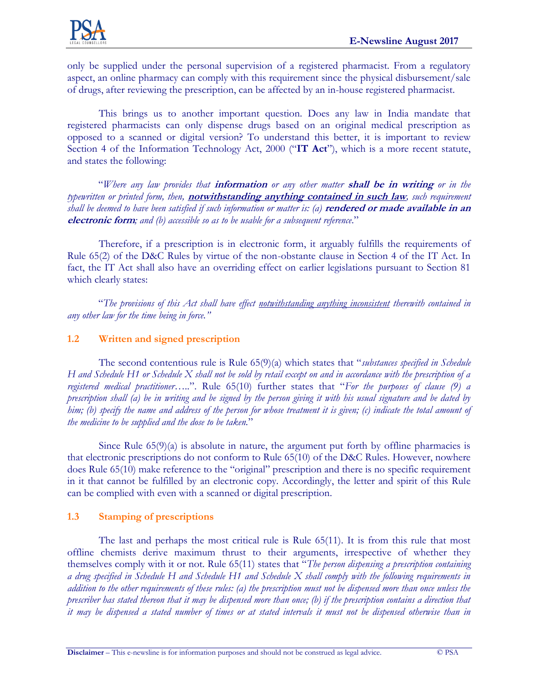only be supplied under the personal supervision of a registered pharmacist. From a regulatory aspect, an online pharmacy can comply with this requirement since the physical disbursement/sale of drugs, after reviewing the prescription, can be affected by an in-house registered pharmacist.

This brings us to another important question. Does any law in India mandate that registered pharmacists can only dispense drugs based on an original medical prescription as opposed to a scanned or digital version? To understand this better, it is important to review Section 4 of the Information Technology Act, 2000 ("**IT Act**"), which is a more recent statute, and states the following:

"*Where any law provides that* **information** *or any other matter* **shall be in writing** *or in the typewritten or printed form, then,* **notwithstanding anything contained in such law***, such requirement shall be deemed to have been satisfied if such information or matter is: (a)* **rendered or made available in an electronic form***; and (b) accessible so as to be usable for a subsequent reference*."

Therefore, if a prescription is in electronic form, it arguably fulfills the requirements of Rule 65(2) of the D&C Rules by virtue of the non-obstante clause in Section 4 of the IT Act. In fact, the IT Act shall also have an overriding effect on earlier legislations pursuant to Section 81 which clearly states:

"*The provisions of this Act shall have effect notwithstanding anything inconsistent therewith contained in any other law for the time being in force."*

## **1.2 Written and signed prescription**

The second contentious rule is Rule 65(9)(a) which states that "*substances specified in Schedule H and Schedule H1 or Schedule X shall not be sold by retail except on and in accordance with the prescription of a registered medical practitioner…..*". Rule 65(10) further states that "*For the purposes of clause (9) a prescription shall (a) be in writing and be signed by the person giving it with his usual signature and be dated by him; (b) specify the name and address of the person for whose treatment it is given; (c) indicate the total amount of the medicine to be supplied and the dose to be taken.*"

Since Rule  $65(9)(a)$  is absolute in nature, the argument put forth by offline pharmacies is that electronic prescriptions do not conform to Rule 65(10) of the D&C Rules. However, nowhere does Rule 65(10) make reference to the "original" prescription and there is no specific requirement in it that cannot be fulfilled by an electronic copy. Accordingly, the letter and spirit of this Rule can be complied with even with a scanned or digital prescription.

## **1.3 Stamping of prescriptions**

The last and perhaps the most critical rule is Rule 65(11). It is from this rule that most offline chemists derive maximum thrust to their arguments, irrespective of whether they themselves comply with it or not. Rule 65(11) states that "*The person dispensing a prescription containing a drug specified in Schedule H and Schedule H1 and Schedule X shall comply with the following requirements in addition to the other requirements of these rules: (a) the prescription must not be dispensed more than once unless the prescriber has stated thereon that it may be dispensed more than once; (b) if the prescription contains a direction that it may be dispensed a stated number of times or at stated intervals it must not be dispensed otherwise than in*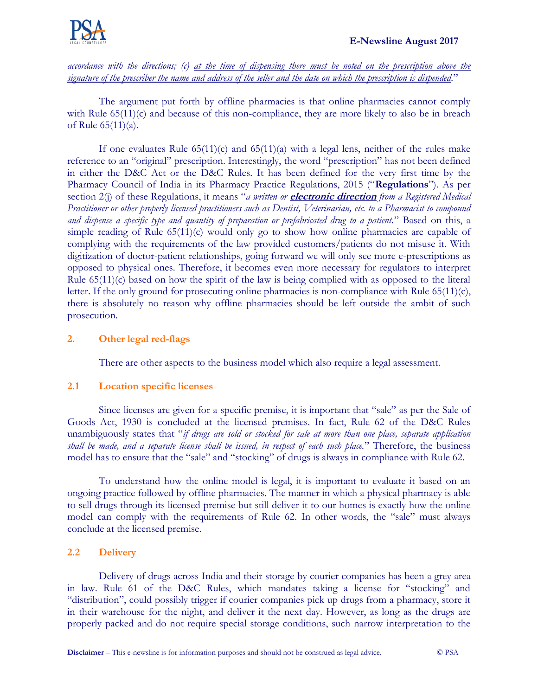

*accordance with the directions; (c) at the time of dispensing there must be noted on the prescription above the signature of the prescriber the name and address of the seller and the date on which the prescription is dispended.*"

The argument put forth by offline pharmacies is that online pharmacies cannot comply with Rule  $65(11)(c)$  and because of this non-compliance, they are more likely to also be in breach of Rule 65(11)(a).

If one evaluates Rule  $65(11)(c)$  and  $65(11)(a)$  with a legal lens, neither of the rules make reference to an "original" prescription. Interestingly, the word "prescription" has not been defined in either the D&C Act or the D&C Rules. It has been defined for the very first time by the Pharmacy Council of India in its Pharmacy Practice Regulations, 2015 ("**Regulations**"). As per section 2(j) of these Regulations, it means "*a written or electronic direction from a Registered Medical Practitioner or other properly licensed practitioners such as Dentist, Veterinarian, etc. to a Pharmacist to compound and dispense a specific type and quantity of preparation or prefabricated drug to a patient.*" Based on this, a simple reading of Rule 65(11)(c) would only go to show how online pharmacies are capable of complying with the requirements of the law provided customers/patients do not misuse it. With digitization of doctor-patient relationships, going forward we will only see more e-prescriptions as opposed to physical ones. Therefore, it becomes even more necessary for regulators to interpret Rule 65(11)(c) based on how the spirit of the law is being complied with as opposed to the literal letter. If the only ground for prosecuting online pharmacies is non-compliance with Rule 65(11)(c), there is absolutely no reason why offline pharmacies should be left outside the ambit of such prosecution.

### **2. Other legal red-flags**

There are other aspects to the business model which also require a legal assessment.

#### **2.1 Location specific licenses**

Since licenses are given for a specific premise, it is important that "sale" as per the Sale of Goods Act, 1930 is concluded at the licensed premises. In fact, Rule 62 of the D&C Rules unambiguously states that "*if drugs are sold or stocked for sale at more than one place, separate application shall be made, and a separate license shall be issued, in respect of each such place.*" Therefore, the business model has to ensure that the "sale" and "stocking" of drugs is always in compliance with Rule 62.

To understand how the online model is legal, it is important to evaluate it based on an ongoing practice followed by offline pharmacies. The manner in which a physical pharmacy is able to sell drugs through its licensed premise but still deliver it to our homes is exactly how the online model can comply with the requirements of Rule 62. In other words, the "sale" must always conclude at the licensed premise.

## **2.2 Delivery**

Delivery of drugs across India and their storage by courier companies has been a grey area in law. Rule 61 of the D&C Rules, which mandates taking a license for "stocking" and "distribution", could possibly trigger if courier companies pick up drugs from a pharmacy, store it in their warehouse for the night, and deliver it the next day. However, as long as the drugs are properly packed and do not require special storage conditions, such narrow interpretation to the